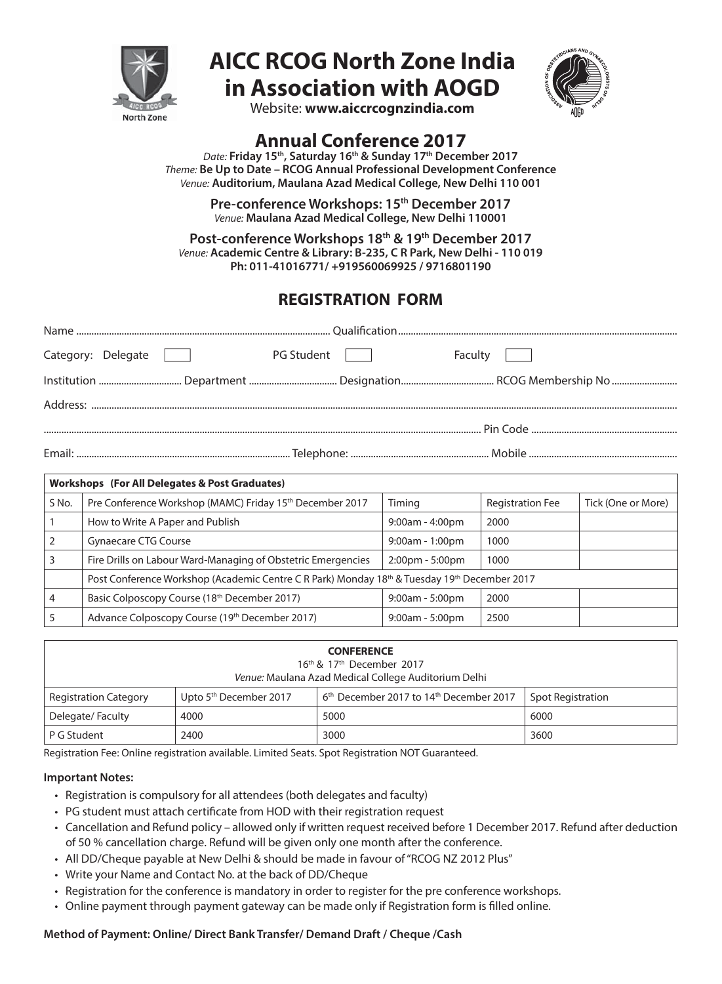

# **AICC RCOG North Zone India in Association with AOGD**



Website: **www.aiccrcognzindia.com**

# **Annual Conference 2017**

*Date:* **Friday 15th, Saturday 16th & Sunday 17th December 2017** *Theme:* **Be Up to Date – RCOG Annual Professional Development Conference** *Venue:* **Auditorium, Maulana Azad Medical College, New Delhi 110 001**

> **Pre-conference Workshops: 15th December 2017** *Venue:* **Maulana Azad Medical College, New Delhi 110001**

**Post-conference Workshops 18th & 19th December 2017** *Venue:* **Academic Centre & Library: B-235, C R Park, New Delhi - 110 019 Ph: 011-41016771/ +919560069925 / 9716801190**

# **REGISTRATION FORM**

| Category: Delegate | PG Student | Faculty |  |
|--------------------|------------|---------|--|
|                    |            |         |  |
|                    |            |         |  |
|                    |            |         |  |
|                    |            |         |  |

| Workshops (For All Delegates & Post Graduates) |                                                                                              |                                   |                         |                    |  |  |
|------------------------------------------------|----------------------------------------------------------------------------------------------|-----------------------------------|-------------------------|--------------------|--|--|
| S No.                                          | Pre Conference Workshop (MAMC) Friday 15th December 2017                                     | Timing                            | <b>Registration Fee</b> | Tick (One or More) |  |  |
|                                                | How to Write A Paper and Publish                                                             | $9:00am - 4:00pm$                 | 2000                    |                    |  |  |
|                                                | <b>Gynaecare CTG Course</b>                                                                  | $9:00am - 1:00pm$                 | 1000                    |                    |  |  |
|                                                | Fire Drills on Labour Ward-Managing of Obstetric Emergencies                                 | $2:00 \text{pm} - 5:00 \text{pm}$ | 1000                    |                    |  |  |
|                                                | Post Conference Workshop (Academic Centre C R Park) Monday 18th & Tuesday 19th December 2017 |                                   |                         |                    |  |  |
|                                                | Basic Colposcopy Course (18 <sup>th</sup> December 2017)                                     | $9:00am - 5:00pm$                 | 2000                    |                    |  |  |
|                                                | Advance Colposcopy Course (19th December 2017)                                               | $9:00am - 5:00pm$                 | 2500                    |                    |  |  |

| <b>CONFERENCE</b><br>16 <sup>th</sup> & 17 <sup>th</sup> December 2017<br>Venue: Maulana Azad Medical College Auditorium Delhi |                                    |                                                                 |                   |  |  |
|--------------------------------------------------------------------------------------------------------------------------------|------------------------------------|-----------------------------------------------------------------|-------------------|--|--|
| <b>Registration Category</b>                                                                                                   | Upto 5 <sup>th</sup> December 2017 | 6 <sup>th</sup> December 2017 to 14 <sup>th</sup> December 2017 | Spot Registration |  |  |
| Delegate/Faculty                                                                                                               | 4000                               | 5000                                                            | 6000              |  |  |
| P G Student                                                                                                                    | 2400                               | 3000                                                            | 3600              |  |  |

Registration Fee: Online registration available. Limited Seats. Spot Registration NOT Guaranteed.

#### **Important Notes:**

- Registration is compulsory for all attendees (both delegates and faculty)
- PG student must attach certificate from HOD with their registration request
- Cancellation and Refund policy allowed only if written request received before 1 December 2017. Refund after deduction of 50 % cancellation charge. Refund will be given only one month after the conference.
- All DD/Cheque payable at New Delhi & should be made in favour of "RCOG NZ 2012 Plus"
- Write your Name and Contact No. at the back of DD/Cheque
- Registration for the conference is mandatory in order to register for the pre conference workshops.
- Online payment through payment gateway can be made only if Registration form is filled online.

## **Method of Payment: Online/ Direct Bank Transfer/ Demand Draft / Cheque /Cash**